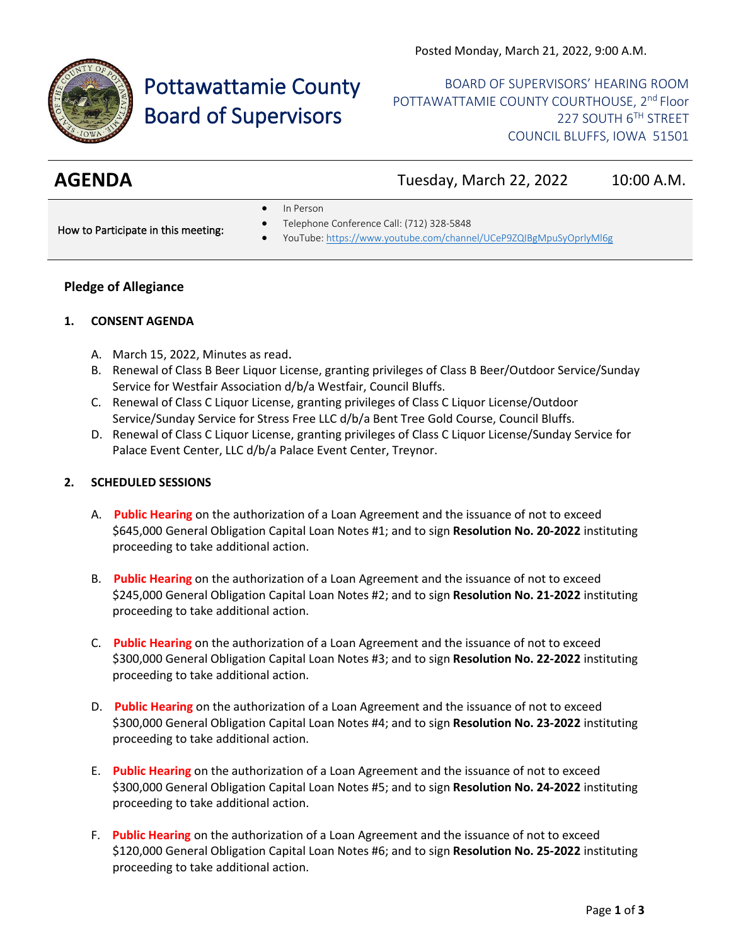

# Pottawattamie County Board of Supervisors

BOARD OF SUPERVISORS' HEARING ROOM POTTAWATTAMIE COUNTY COURTHOUSE, 2<sup>nd</sup> Floor 227 SOUTH 6TH STREET COUNCIL BLUFFS, IOWA 51501

**AGENDA** Tuesday, March 22, 2022 10:00 A.M.

• In Person

How to Participate in this meeting:

- Telephone Conference Call: (712) 328-5848
- YouTube[: https://www.youtube.com/channel/UCeP9ZQIBgMpuSyOprlyMl6g](https://www.youtube.com/channel/UCeP9ZQIBgMpuSyOprlyMl6g)

### **Pledge of Allegiance**

#### **1. CONSENT AGENDA**

- A. March 15, 2022, Minutes as read.
- B. Renewal of Class B Beer Liquor License, granting privileges of Class B Beer/Outdoor Service/Sunday Service for Westfair Association d/b/a Westfair, Council Bluffs.
- C. Renewal of Class C Liquor License, granting privileges of Class C Liquor License/Outdoor Service/Sunday Service for Stress Free LLC d/b/a Bent Tree Gold Course, Council Bluffs.
- D. Renewal of Class C Liquor License, granting privileges of Class C Liquor License/Sunday Service for Palace Event Center, LLC d/b/a Palace Event Center, Treynor.

### **2. SCHEDULED SESSIONS**

- A. **Public Hearing** on the authorization of a Loan Agreement and the issuance of not to exceed \$645,000 General Obligation Capital Loan Notes #1; and to sign **Resolution No. 20-2022** instituting proceeding to take additional action.
- B. **Public Hearing** on the authorization of a Loan Agreement and the issuance of not to exceed \$245,000 General Obligation Capital Loan Notes #2; and to sign **Resolution No. 21-2022** instituting proceeding to take additional action.
- C. **Public Hearing** on the authorization of a Loan Agreement and the issuance of not to exceed \$300,000 General Obligation Capital Loan Notes #3; and to sign **Resolution No. 22-2022** instituting proceeding to take additional action.
- D. **Public Hearing** on the authorization of a Loan Agreement and the issuance of not to exceed \$300,000 General Obligation Capital Loan Notes #4; and to sign **Resolution No. 23-2022** instituting proceeding to take additional action.
- E. **Public Hearing** on the authorization of a Loan Agreement and the issuance of not to exceed \$300,000 General Obligation Capital Loan Notes #5; and to sign **Resolution No. 24-2022** instituting proceeding to take additional action.
- F. **Public Hearing** on the authorization of a Loan Agreement and the issuance of not to exceed \$120,000 General Obligation Capital Loan Notes #6; and to sign **Resolution No. 25-2022** instituting proceeding to take additional action.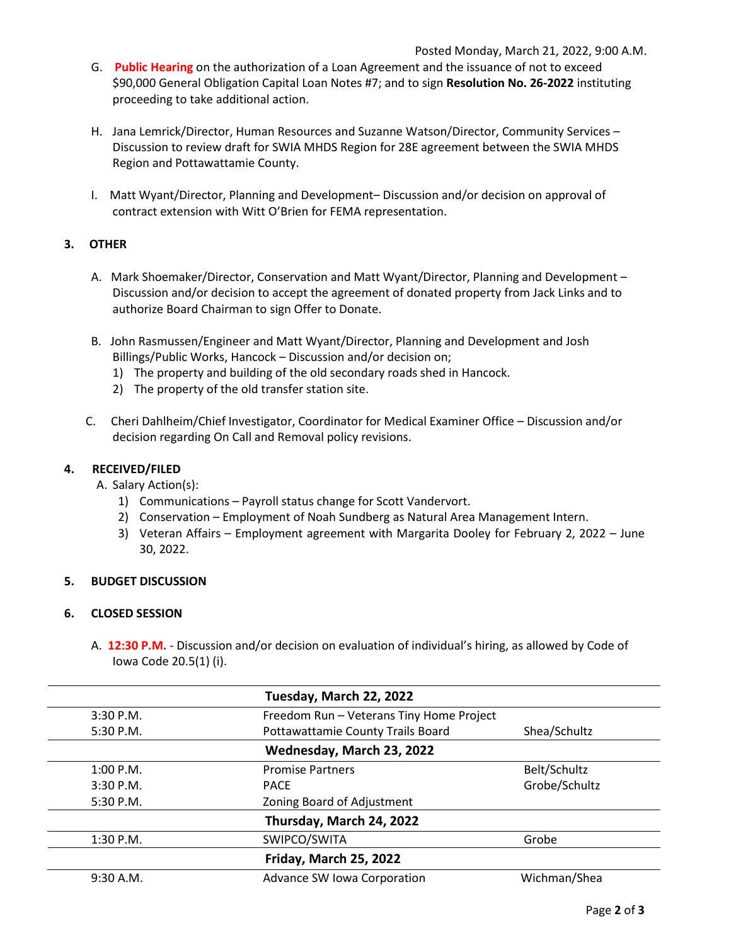- G. **Public Hearing** on the authorization of a Loan Agreement and the issuance of not to exceed \$90,000 General Obligation Capital Loan Notes #7; and to sign **Resolution No. 26-2022** instituting proceeding to take additional action.
- H. Jana Lemrick/Director, Human Resources and Suzanne Watson/Director, Community Services Discussion to review draft for SWIA MHDS Region for 28E agreement between the SWIA MHDS Region and Pottawattamie County.
- I. Matt Wyant/Director, Planning and Development– Discussion and/or decision on approval of contract extension with Witt O'Brien for FEMA representation.

## **3. OTHER**

- A. Mark Shoemaker/Director, Conservation and Matt Wyant/Director, Planning and Development Discussion and/or decision to accept the agreement of donated property from Jack Links and to authorize Board Chairman to sign Offer to Donate.
- B. John Rasmussen/Engineer and Matt Wyant/Director, Planning and Development and Josh Billings/Public Works, Hancock – Discussion and/or decision on;
	- 1) The property and building of the old secondary roads shed in Hancock.
	- 2) The property of the old transfer station site.
- C. Cheri Dahlheim/Chief Investigator, Coordinator for Medical Examiner Office Discussion and/or decision regarding On Call and Removal policy revisions.

### **4. RECEIVED/FILED**

A. Salary Action(s):

- 1) Communications Payroll status change for Scott Vandervort.
- 2) Conservation Employment of Noah Sundberg as Natural Area Management Intern.
- 3) Veteran Affairs Employment agreement with Margarita Dooley for February 2, 2022 June 30, 2022.

### **5. BUDGET DISCUSSION**

### **6. CLOSED SESSION**

A. **12:30 P.M.** - Discussion and/or decision on evaluation of individual's hiring, as allowed by Code of Iowa Code 20.5(1) (i).

|             | Tuesday, March 22, 2022                  |               |
|-------------|------------------------------------------|---------------|
| $3:30$ P.M. | Freedom Run - Veterans Tiny Home Project |               |
| 5:30 P.M.   | Pottawattamie County Trails Board        | Shea/Schultz  |
|             | Wednesday, March 23, 2022                |               |
| $1:00$ P.M. | <b>Promise Partners</b>                  | Belt/Schultz  |
| $3:30$ P.M. | <b>PACE</b>                              | Grobe/Schultz |
| $5:30$ P.M. | Zoning Board of Adjustment               |               |
|             | Thursday, March 24, 2022                 |               |
| 1:30 P.M.   | SWIPCO/SWITA                             | Grobe         |
|             | Friday, March 25, 2022                   |               |
| 9:30 A.M.   | Advance SW Iowa Corporation              | Wichman/Shea  |